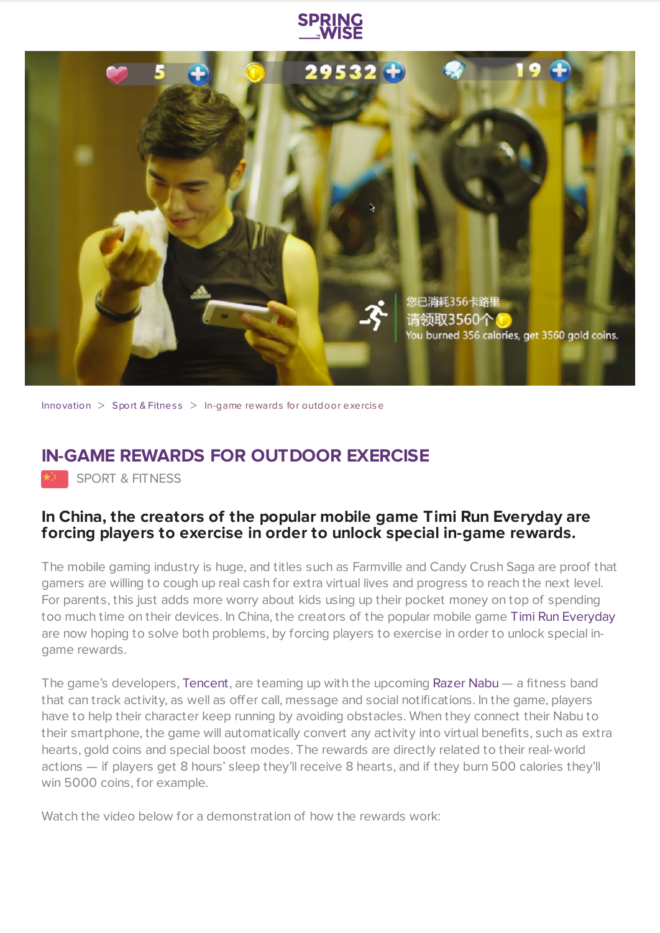



[Innovation](https://www.springwise.com/search?type=innovation)  $>$  Sport & [Fitnes](https://www.springwise.com/search?type=innovation§or=sport-fitness)s  $>$  In-game rewards for outdoor exercise

## **IN-GAME REWARDS FOR OUTDOOR EXERCISE**

SPORT & FITNESS

## **In China, the creators of the popular mobile game Timi Run Everyday are forcing players to exercise in order to unlock special in-game rewards.**

The mobile gaming industry is huge, and titles such as Farmville and Candy Crush Saga are proof that gamers are willing to cough up real cash for extra virtual lives and progress to reach the next level. For parents, this just adds more worry about kids using up their pocket money on top of spending too much time on their devices. In China, the creators of the popular mobile game Timi Run [Everyday](http://venturebeat.com/2014/08/12/tencent-is-integrating-support-for-razers-nabu-smartband-to-provide-in-game-rewards-for-real-world-actions/) are now hoping to solve both problems, by forcing players to exercise in order to unlock special ingame rewards.

The game's developers, [Tencent,](http://www.tencent.com/) are teaming up with the upcoming [Razer](http://www.razerzone.com/nabu) Nabu — a fitness band that can track activity, as well as offer call, message and social notifications. In the game, players have to help their character keep running by avoiding obstacles. When they connect their Nabu to their smartphone, the game will automatically convert any activity into virtual benefits, such as extra hearts, gold coins and special boost modes. The rewards are directly related to their real-world actions — if players get 8 hours' sleep they'll receive 8 hearts, and if they burn 500 calories they'll win 5000 coins, for example.

Watch the video below for a demonstration of how the rewards work: